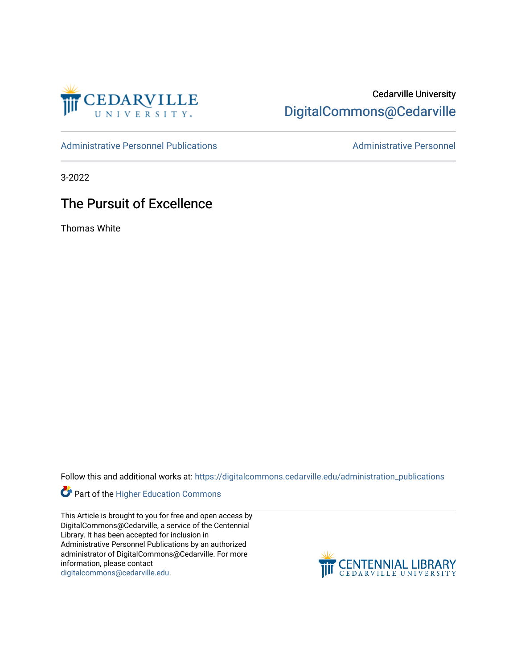

### Cedarville University [DigitalCommons@Cedarville](https://digitalcommons.cedarville.edu/)

[Administrative Personnel Publications](https://digitalcommons.cedarville.edu/administration_publications) **Administrative Personnel** Administrative Personnel

3-2022

## The Pursuit of Excellence

Thomas White

Follow this and additional works at: [https://digitalcommons.cedarville.edu/administration\\_publications](https://digitalcommons.cedarville.edu/administration_publications?utm_source=digitalcommons.cedarville.edu%2Fadministration_publications%2F260&utm_medium=PDF&utm_campaign=PDFCoverPages) 



This Article is brought to you for free and open access by DigitalCommons@Cedarville, a service of the Centennial Library. It has been accepted for inclusion in Administrative Personnel Publications by an authorized administrator of DigitalCommons@Cedarville. For more information, please contact [digitalcommons@cedarville.edu](mailto:digitalcommons@cedarville.edu).

**CENTENNIAL LIBRARY**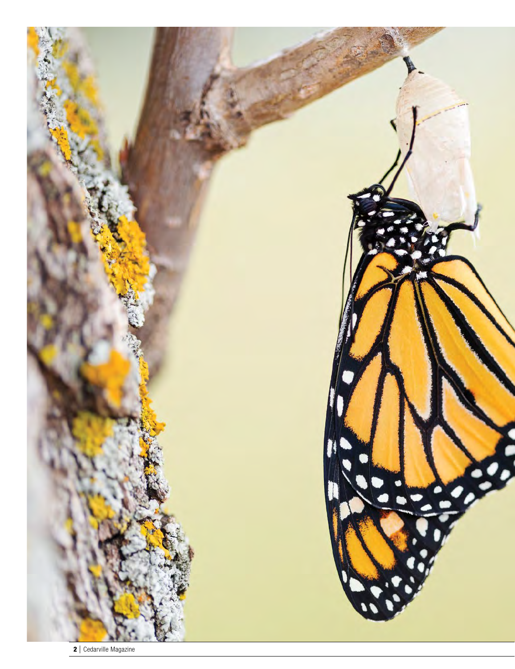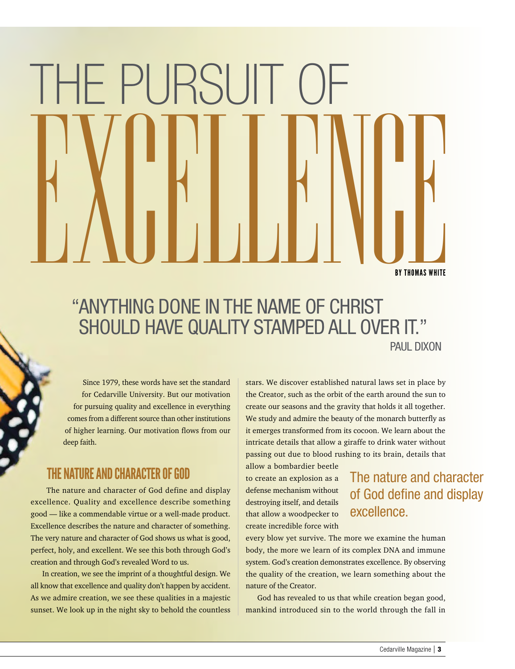

# "ANYTHING DONE IN THE NAME OF CHRIST SHOULD HAVE QUALITY STAMPED ALL OVER IT." PAUL DIXON

Since 1979, these words have set the standard for Cedarville University. But our motivation for pursuing quality and excellence in everything comes from a different source than other institutions of higher learning. Our motivation flows from our deep faith.

#### THE NATURE AND CHARACTER OF GOD

The nature and character of God define and display excellence. Quality and excellence describe something good — like a commendable virtue or a well-made product. Excellence describes the nature and character of something. The very nature and character of God shows us what is good, perfect, holy, and excellent. We see this both through God's creation and through God's revealed Word to us.

In creation, we see the imprint of a thoughtful design. We all know that excellence and quality don't happen by accident. As we admire creation, we see these qualities in a majestic sunset. We look up in the night sky to behold the countless stars. We discover established natural laws set in place by the Creator, such as the orbit of the earth around the sun to create our seasons and the gravity that holds it all together. We study and admire the beauty of the monarch butterfly as it emerges transformed from its cocoon. We learn about the intricate details that allow a giraffe to drink water without passing out due to blood rushing to its brain, details that

to create an explosion as a defense mechanism without destroying itself, and details that allow a woodpecker to create incredible force with

allow a bombardier beetle

## The nature and character of God define and display excellence.

every blow yet survive. The more we examine the human body, the more we learn of its complex DNA and immune system. God's creation demonstrates excellence. By observing the quality of the creation, we learn something about the nature of the Creator.

God has revealed to us that while creation began good, mankind introduced sin to the world through the fall in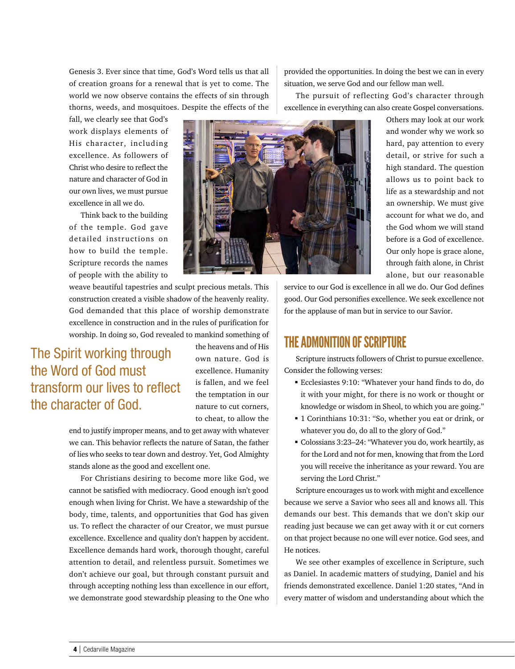Genesis 3. Ever since that time, God's Word tells us that all of creation groans for a renewal that is yet to come. The world we now observe contains the effects of sin through thorns, weeds, and mosquitoes. Despite the effects of the

fall, we clearly see that God's work displays elements of His character, including excellence. As followers of Christ who desire to reflect the nature and character of God in our own lives, we must pursue excellence in all we do.

Think back to the building of the temple. God gave detailed instructions on how to build the temple. Scripture records the names of people with the ability to



weave beautiful tapestries and sculpt precious metals. This construction created a visible shadow of the heavenly reality. God demanded that this place of worship demonstrate excellence in construction and in the rules of purification for worship. In doing so, God revealed to mankind something of

# The Spirit working through the Word of God must transform our lives to reflect the character of God.

the heavens and of His own nature. God is excellence. Humanity is fallen, and we feel the temptation in our nature to cut corners, to cheat, to allow the

end to justify improper means, and to get away with whatever we can. This behavior reflects the nature of Satan, the father of lies who seeks to tear down and destroy. Yet, God Almighty stands alone as the good and excellent one.

For Christians desiring to become more like God, we cannot be satisfied with mediocracy. Good enough isn't good enough when living for Christ. We have a stewardship of the body, time, talents, and opportunities that God has given us. To reflect the character of our Creator, we must pursue excellence. Excellence and quality don't happen by accident. Excellence demands hard work, thorough thought, careful attention to detail, and relentless pursuit. Sometimes we don't achieve our goal, but through constant pursuit and through accepting nothing less than excellence in our effort, we demonstrate good stewardship pleasing to the One who provided the opportunities. In doing the best we can in every situation, we serve God and our fellow man well.

The pursuit of reflecting God's character through excellence in everything can also create Gospel conversations.

> Others may look at our work and wonder why we work so hard, pay attention to every detail, or strive for such a high standard. The question allows us to point back to life as a stewardship and not an ownership. We must give account for what we do, and the God whom we will stand before is a God of excellence. Our only hope is grace alone, through faith alone, in Christ alone, but our reasonable

service to our God is excellence in all we do. Our God defines good. Our God personifies excellence. We seek excellence not for the applause of man but in service to our Savior.

#### THE ADMONITION OF SCRIPTURE

Scripture instructs followers of Christ to pursue excellence. Consider the following verses:

- § Ecclesiastes 9:10: "Whatever your hand finds to do, do it with your might, for there is no work or thought or knowledge or wisdom in Sheol, to which you are going."
- § 1 Corinthians 10:31: "So, whether you eat or drink, or whatever you do, do all to the glory of God."
- § Colossians 3:23–24: "Whatever you do, work heartily, as for the Lord and not for men, knowing that from the Lord you will receive the inheritance as your reward. You are serving the Lord Christ."

Scripture encourages us to work with might and excellence because we serve a Savior who sees all and knows all. This demands our best. This demands that we don't skip our reading just because we can get away with it or cut corners on that project because no one will ever notice. God sees, and He notices.

We see other examples of excellence in Scripture, such as Daniel. In academic matters of studying, Daniel and his friends demonstrated excellence. Daniel 1:20 states, "And in every matter of wisdom and understanding about which the